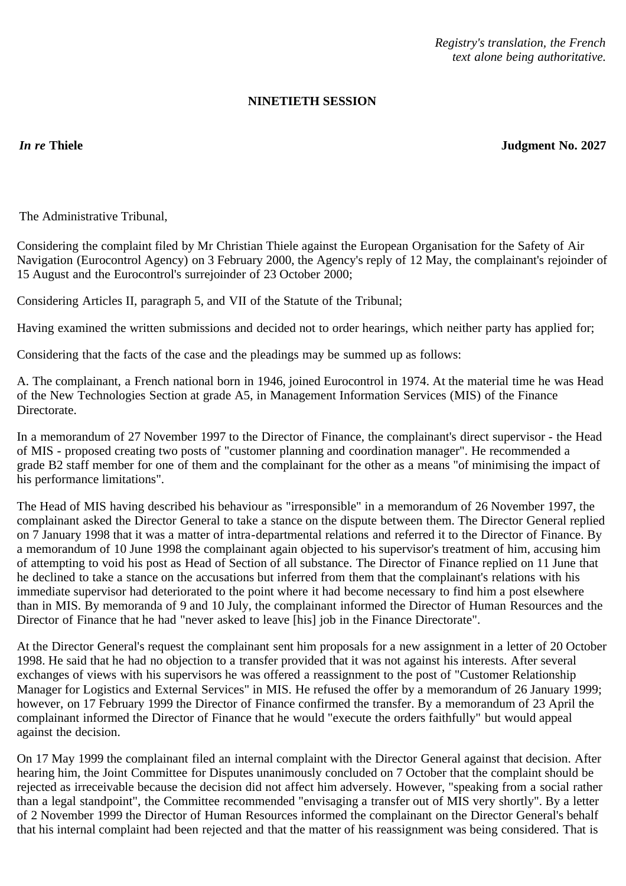*Registry's translation, the French text alone being authoritative.*

## **NINETIETH SESSION**

*In re* **Thiele Judgment No. 2027**

The Administrative Tribunal,

Considering the complaint filed by Mr Christian Thiele against the European Organisation for the Safety of Air Navigation (Eurocontrol Agency) on 3 February 2000, the Agency's reply of 12 May, the complainant's rejoinder of 15 August and the Eurocontrol's surrejoinder of 23 October 2000;

Considering Articles II, paragraph 5, and VII of the Statute of the Tribunal;

Having examined the written submissions and decided not to order hearings, which neither party has applied for;

Considering that the facts of the case and the pleadings may be summed up as follows:

A. The complainant, a French national born in 1946, joined Eurocontrol in 1974. At the material time he was Head of the New Technologies Section at grade A5, in Management Information Services (MIS) of the Finance Directorate.

In a memorandum of 27 November 1997 to the Director of Finance, the complainant's direct supervisor - the Head of MIS - proposed creating two posts of "customer planning and coordination manager". He recommended a grade B2 staff member for one of them and the complainant for the other as a means "of minimising the impact of his performance limitations".

The Head of MIS having described his behaviour as "irresponsible" in a memorandum of 26 November 1997, the complainant asked the Director General to take a stance on the dispute between them. The Director General replied on 7 January 1998 that it was a matter of intra-departmental relations and referred it to the Director of Finance. By a memorandum of 10 June 1998 the complainant again objected to his supervisor's treatment of him, accusing him of attempting to void his post as Head of Section of all substance. The Director of Finance replied on 11 June that he declined to take a stance on the accusations but inferred from them that the complainant's relations with his immediate supervisor had deteriorated to the point where it had become necessary to find him a post elsewhere than in MIS. By memoranda of 9 and 10 July, the complainant informed the Director of Human Resources and the Director of Finance that he had "never asked to leave [his] job in the Finance Directorate".

At the Director General's request the complainant sent him proposals for a new assignment in a letter of 20 October 1998. He said that he had no objection to a transfer provided that it was not against his interests. After several exchanges of views with his supervisors he was offered a reassignment to the post of "Customer Relationship Manager for Logistics and External Services" in MIS. He refused the offer by a memorandum of 26 January 1999; however, on 17 February 1999 the Director of Finance confirmed the transfer. By a memorandum of 23 April the complainant informed the Director of Finance that he would "execute the orders faithfully" but would appeal against the decision.

On 17 May 1999 the complainant filed an internal complaint with the Director General against that decision. After hearing him, the Joint Committee for Disputes unanimously concluded on 7 October that the complaint should be rejected as irreceivable because the decision did not affect him adversely. However, "speaking from a social rather than a legal standpoint", the Committee recommended "envisaging a transfer out of MIS very shortly". By a letter of 2 November 1999 the Director of Human Resources informed the complainant on the Director General's behalf that his internal complaint had been rejected and that the matter of his reassignment was being considered. That is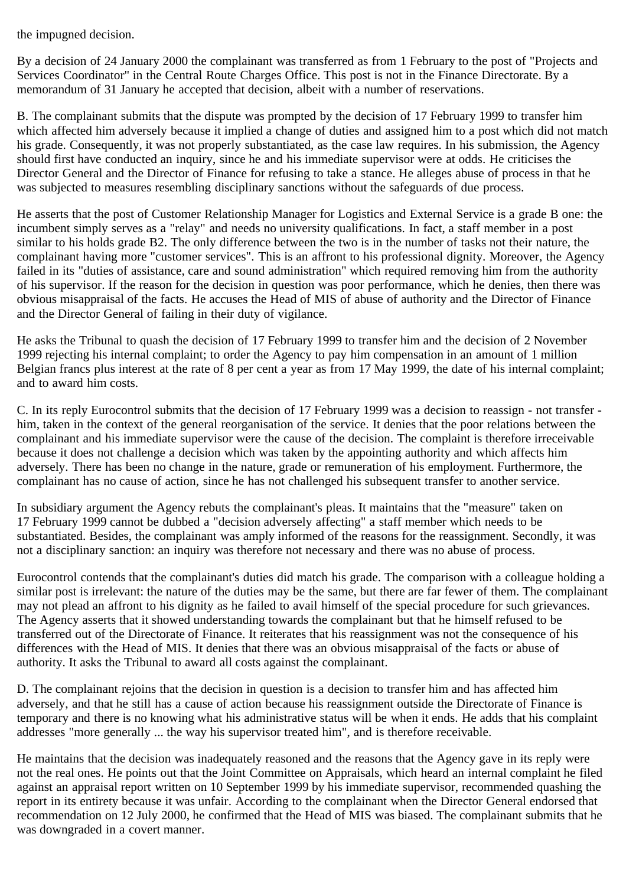the impugned decision.

By a decision of 24 January 2000 the complainant was transferred as from 1 February to the post of "Projects and Services Coordinator" in the Central Route Charges Office. This post is not in the Finance Directorate. By a memorandum of 31 January he accepted that decision, albeit with a number of reservations.

B. The complainant submits that the dispute was prompted by the decision of 17 February 1999 to transfer him which affected him adversely because it implied a change of duties and assigned him to a post which did not match his grade. Consequently, it was not properly substantiated, as the case law requires. In his submission, the Agency should first have conducted an inquiry, since he and his immediate supervisor were at odds. He criticises the Director General and the Director of Finance for refusing to take a stance. He alleges abuse of process in that he was subjected to measures resembling disciplinary sanctions without the safeguards of due process.

He asserts that the post of Customer Relationship Manager for Logistics and External Service is a grade B one: the incumbent simply serves as a "relay" and needs no university qualifications. In fact, a staff member in a post similar to his holds grade B2. The only difference between the two is in the number of tasks not their nature, the complainant having more "customer services". This is an affront to his professional dignity. Moreover, the Agency failed in its "duties of assistance, care and sound administration" which required removing him from the authority of his supervisor. If the reason for the decision in question was poor performance, which he denies, then there was obvious misappraisal of the facts. He accuses the Head of MIS of abuse of authority and the Director of Finance and the Director General of failing in their duty of vigilance.

He asks the Tribunal to quash the decision of 17 February 1999 to transfer him and the decision of 2 November 1999 rejecting his internal complaint; to order the Agency to pay him compensation in an amount of 1 million Belgian francs plus interest at the rate of 8 per cent a year as from 17 May 1999, the date of his internal complaint; and to award him costs.

C. In its reply Eurocontrol submits that the decision of 17 February 1999 was a decision to reassign - not transfer him, taken in the context of the general reorganisation of the service. It denies that the poor relations between the complainant and his immediate supervisor were the cause of the decision. The complaint is therefore irreceivable because it does not challenge a decision which was taken by the appointing authority and which affects him adversely. There has been no change in the nature, grade or remuneration of his employment. Furthermore, the complainant has no cause of action, since he has not challenged his subsequent transfer to another service.

In subsidiary argument the Agency rebuts the complainant's pleas. It maintains that the "measure" taken on 17 February 1999 cannot be dubbed a "decision adversely affecting" a staff member which needs to be substantiated. Besides, the complainant was amply informed of the reasons for the reassignment. Secondly, it was not a disciplinary sanction: an inquiry was therefore not necessary and there was no abuse of process.

Eurocontrol contends that the complainant's duties did match his grade. The comparison with a colleague holding a similar post is irrelevant: the nature of the duties may be the same, but there are far fewer of them. The complainant may not plead an affront to his dignity as he failed to avail himself of the special procedure for such grievances. The Agency asserts that it showed understanding towards the complainant but that he himself refused to be transferred out of the Directorate of Finance. It reiterates that his reassignment was not the consequence of his differences with the Head of MIS. It denies that there was an obvious misappraisal of the facts or abuse of authority. It asks the Tribunal to award all costs against the complainant.

D. The complainant rejoins that the decision in question is a decision to transfer him and has affected him adversely, and that he still has a cause of action because his reassignment outside the Directorate of Finance is temporary and there is no knowing what his administrative status will be when it ends. He adds that his complaint addresses "more generally ... the way his supervisor treated him", and is therefore receivable.

He maintains that the decision was inadequately reasoned and the reasons that the Agency gave in its reply were not the real ones. He points out that the Joint Committee on Appraisals, which heard an internal complaint he filed against an appraisal report written on 10 September 1999 by his immediate supervisor, recommended quashing the report in its entirety because it was unfair. According to the complainant when the Director General endorsed that recommendation on 12 July 2000, he confirmed that the Head of MIS was biased. The complainant submits that he was downgraded in a covert manner.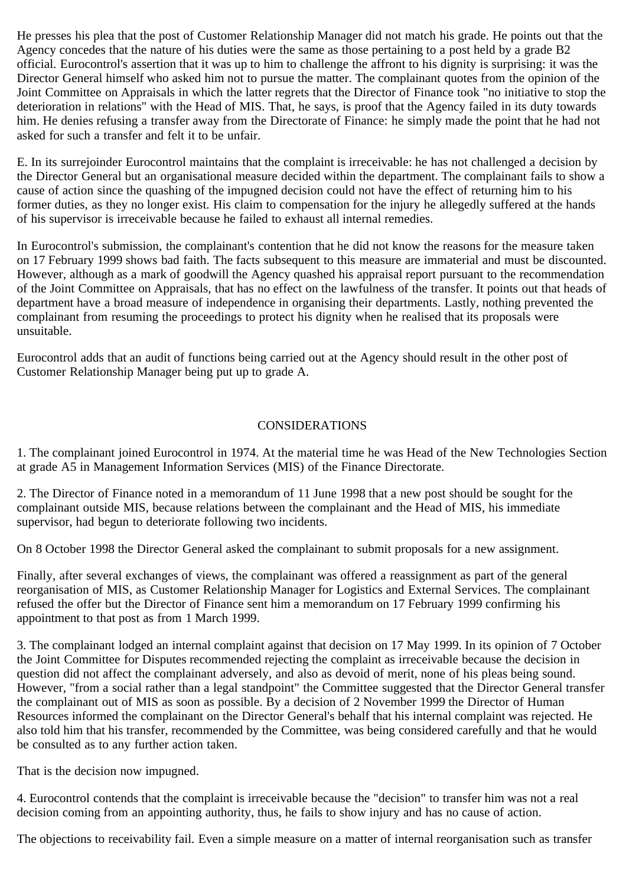He presses his plea that the post of Customer Relationship Manager did not match his grade. He points out that the Agency concedes that the nature of his duties were the same as those pertaining to a post held by a grade B2 official. Eurocontrol's assertion that it was up to him to challenge the affront to his dignity is surprising: it was the Director General himself who asked him not to pursue the matter. The complainant quotes from the opinion of the Joint Committee on Appraisals in which the latter regrets that the Director of Finance took "no initiative to stop the deterioration in relations" with the Head of MIS. That, he says, is proof that the Agency failed in its duty towards him. He denies refusing a transfer away from the Directorate of Finance: he simply made the point that he had not asked for such a transfer and felt it to be unfair.

E. In its surrejoinder Eurocontrol maintains that the complaint is irreceivable: he has not challenged a decision by the Director General but an organisational measure decided within the department. The complainant fails to show a cause of action since the quashing of the impugned decision could not have the effect of returning him to his former duties, as they no longer exist. His claim to compensation for the injury he allegedly suffered at the hands of his supervisor is irreceivable because he failed to exhaust all internal remedies.

In Eurocontrol's submission, the complainant's contention that he did not know the reasons for the measure taken on 17 February 1999 shows bad faith. The facts subsequent to this measure are immaterial and must be discounted. However, although as a mark of goodwill the Agency quashed his appraisal report pursuant to the recommendation of the Joint Committee on Appraisals, that has no effect on the lawfulness of the transfer. It points out that heads of department have a broad measure of independence in organising their departments. Lastly, nothing prevented the complainant from resuming the proceedings to protect his dignity when he realised that its proposals were unsuitable.

Eurocontrol adds that an audit of functions being carried out at the Agency should result in the other post of Customer Relationship Manager being put up to grade A.

## CONSIDERATIONS

1. The complainant joined Eurocontrol in 1974. At the material time he was Head of the New Technologies Section at grade A5 in Management Information Services (MIS) of the Finance Directorate.

2. The Director of Finance noted in a memorandum of 11 June 1998 that a new post should be sought for the complainant outside MIS, because relations between the complainant and the Head of MIS, his immediate supervisor, had begun to deteriorate following two incidents.

On 8 October 1998 the Director General asked the complainant to submit proposals for a new assignment.

Finally, after several exchanges of views, the complainant was offered a reassignment as part of the general reorganisation of MIS, as Customer Relationship Manager for Logistics and External Services. The complainant refused the offer but the Director of Finance sent him a memorandum on 17 February 1999 confirming his appointment to that post as from 1 March 1999.

3. The complainant lodged an internal complaint against that decision on 17 May 1999. In its opinion of 7 October the Joint Committee for Disputes recommended rejecting the complaint as irreceivable because the decision in question did not affect the complainant adversely, and also as devoid of merit, none of his pleas being sound. However, "from a social rather than a legal standpoint" the Committee suggested that the Director General transfer the complainant out of MIS as soon as possible. By a decision of 2 November 1999 the Director of Human Resources informed the complainant on the Director General's behalf that his internal complaint was rejected. He also told him that his transfer, recommended by the Committee, was being considered carefully and that he would be consulted as to any further action taken.

That is the decision now impugned.

4. Eurocontrol contends that the complaint is irreceivable because the "decision" to transfer him was not a real decision coming from an appointing authority, thus, he fails to show injury and has no cause of action.

The objections to receivability fail. Even a simple measure on a matter of internal reorganisation such as transfer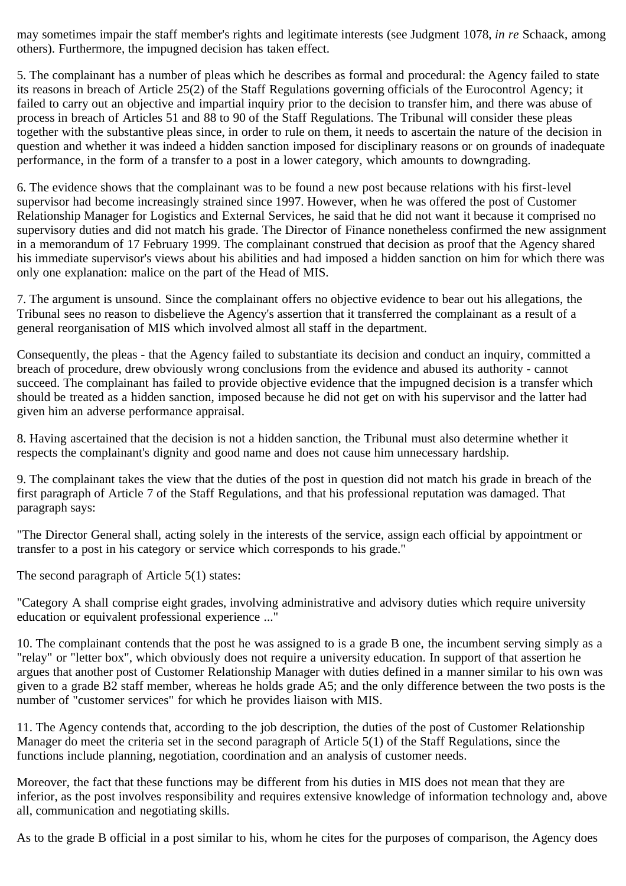may sometimes impair the staff member's rights and legitimate interests (see Judgment 1078, *in re* Schaack, among others). Furthermore, the impugned decision has taken effect.

5. The complainant has a number of pleas which he describes as formal and procedural: the Agency failed to state its reasons in breach of Article 25(2) of the Staff Regulations governing officials of the Eurocontrol Agency; it failed to carry out an objective and impartial inquiry prior to the decision to transfer him, and there was abuse of process in breach of Articles 51 and 88 to 90 of the Staff Regulations. The Tribunal will consider these pleas together with the substantive pleas since, in order to rule on them, it needs to ascertain the nature of the decision in question and whether it was indeed a hidden sanction imposed for disciplinary reasons or on grounds of inadequate performance, in the form of a transfer to a post in a lower category, which amounts to downgrading.

6. The evidence shows that the complainant was to be found a new post because relations with his first-level supervisor had become increasingly strained since 1997. However, when he was offered the post of Customer Relationship Manager for Logistics and External Services, he said that he did not want it because it comprised no supervisory duties and did not match his grade. The Director of Finance nonetheless confirmed the new assignment in a memorandum of 17 February 1999. The complainant construed that decision as proof that the Agency shared his immediate supervisor's views about his abilities and had imposed a hidden sanction on him for which there was only one explanation: malice on the part of the Head of MIS.

7. The argument is unsound. Since the complainant offers no objective evidence to bear out his allegations, the Tribunal sees no reason to disbelieve the Agency's assertion that it transferred the complainant as a result of a general reorganisation of MIS which involved almost all staff in the department.

Consequently, the pleas - that the Agency failed to substantiate its decision and conduct an inquiry, committed a breach of procedure, drew obviously wrong conclusions from the evidence and abused its authority - cannot succeed. The complainant has failed to provide objective evidence that the impugned decision is a transfer which should be treated as a hidden sanction, imposed because he did not get on with his supervisor and the latter had given him an adverse performance appraisal.

8. Having ascertained that the decision is not a hidden sanction, the Tribunal must also determine whether it respects the complainant's dignity and good name and does not cause him unnecessary hardship.

9. The complainant takes the view that the duties of the post in question did not match his grade in breach of the first paragraph of Article 7 of the Staff Regulations, and that his professional reputation was damaged. That paragraph says:

"The Director General shall, acting solely in the interests of the service, assign each official by appointment or transfer to a post in his category or service which corresponds to his grade."

The second paragraph of Article 5(1) states:

"Category A shall comprise eight grades, involving administrative and advisory duties which require university education or equivalent professional experience ..."

10. The complainant contends that the post he was assigned to is a grade B one, the incumbent serving simply as a "relay" or "letter box", which obviously does not require a university education. In support of that assertion he argues that another post of Customer Relationship Manager with duties defined in a manner similar to his own was given to a grade B2 staff member, whereas he holds grade A5; and the only difference between the two posts is the number of "customer services" for which he provides liaison with MIS.

11. The Agency contends that, according to the job description, the duties of the post of Customer Relationship Manager do meet the criteria set in the second paragraph of Article 5(1) of the Staff Regulations, since the functions include planning, negotiation, coordination and an analysis of customer needs.

Moreover, the fact that these functions may be different from his duties in MIS does not mean that they are inferior, as the post involves responsibility and requires extensive knowledge of information technology and, above all, communication and negotiating skills.

As to the grade B official in a post similar to his, whom he cites for the purposes of comparison, the Agency does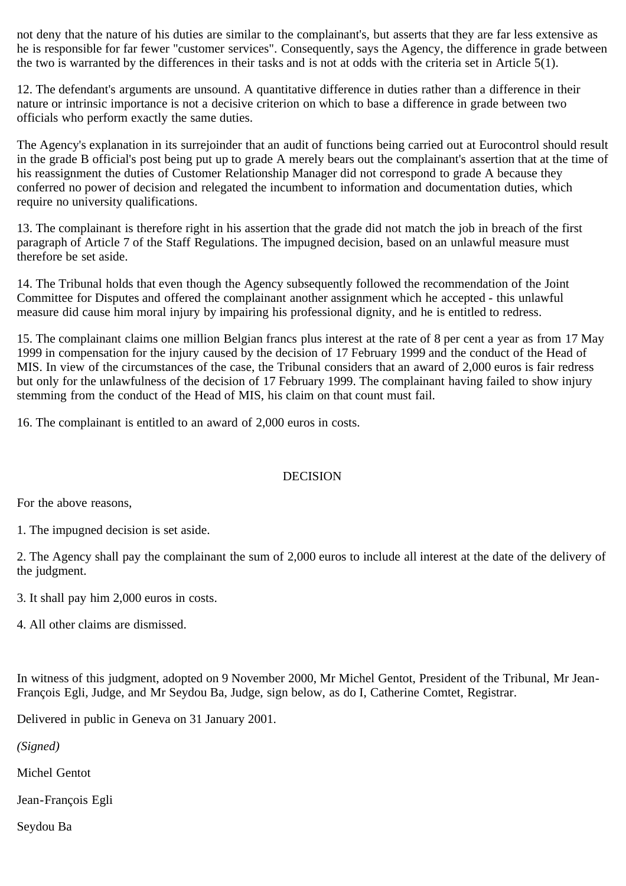not deny that the nature of his duties are similar to the complainant's, but asserts that they are far less extensive as he is responsible for far fewer "customer services". Consequently, says the Agency, the difference in grade between the two is warranted by the differences in their tasks and is not at odds with the criteria set in Article 5(1).

12. The defendant's arguments are unsound. A quantitative difference in duties rather than a difference in their nature or intrinsic importance is not a decisive criterion on which to base a difference in grade between two officials who perform exactly the same duties.

The Agency's explanation in its surrejoinder that an audit of functions being carried out at Eurocontrol should result in the grade B official's post being put up to grade A merely bears out the complainant's assertion that at the time of his reassignment the duties of Customer Relationship Manager did not correspond to grade A because they conferred no power of decision and relegated the incumbent to information and documentation duties, which require no university qualifications.

13. The complainant is therefore right in his assertion that the grade did not match the job in breach of the first paragraph of Article 7 of the Staff Regulations. The impugned decision, based on an unlawful measure must therefore be set aside.

14. The Tribunal holds that even though the Agency subsequently followed the recommendation of the Joint Committee for Disputes and offered the complainant another assignment which he accepted - this unlawful measure did cause him moral injury by impairing his professional dignity, and he is entitled to redress.

15. The complainant claims one million Belgian francs plus interest at the rate of 8 per cent a year as from 17 May 1999 in compensation for the injury caused by the decision of 17 February 1999 and the conduct of the Head of MIS. In view of the circumstances of the case, the Tribunal considers that an award of 2,000 euros is fair redress but only for the unlawfulness of the decision of 17 February 1999. The complainant having failed to show injury stemming from the conduct of the Head of MIS, his claim on that count must fail.

16. The complainant is entitled to an award of 2,000 euros in costs.

## DECISION

For the above reasons,

1. The impugned decision is set aside.

2. The Agency shall pay the complainant the sum of 2,000 euros to include all interest at the date of the delivery of the judgment.

3. It shall pay him 2,000 euros in costs.

4. All other claims are dismissed.

In witness of this judgment, adopted on 9 November 2000, Mr Michel Gentot, President of the Tribunal, Mr Jean-François Egli, Judge, and Mr Seydou Ba, Judge, sign below, as do I, Catherine Comtet, Registrar.

Delivered in public in Geneva on 31 January 2001.

*(Signed)*

Michel Gentot

Jean-François Egli

Seydou Ba